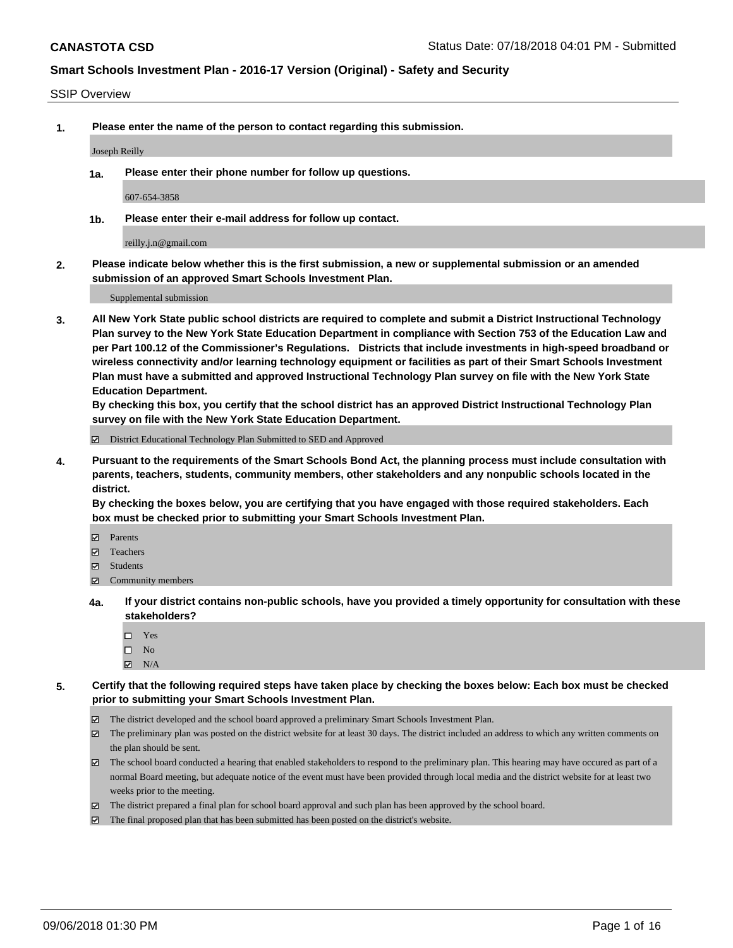#### SSIP Overview

**1. Please enter the name of the person to contact regarding this submission.**

Joseph Reilly

**1a. Please enter their phone number for follow up questions.**

607-654-3858

**1b. Please enter their e-mail address for follow up contact.**

reilly.j.n@gmail.com

**2. Please indicate below whether this is the first submission, a new or supplemental submission or an amended submission of an approved Smart Schools Investment Plan.**

Supplemental submission

**3. All New York State public school districts are required to complete and submit a District Instructional Technology Plan survey to the New York State Education Department in compliance with Section 753 of the Education Law and per Part 100.12 of the Commissioner's Regulations. Districts that include investments in high-speed broadband or wireless connectivity and/or learning technology equipment or facilities as part of their Smart Schools Investment Plan must have a submitted and approved Instructional Technology Plan survey on file with the New York State Education Department.** 

**By checking this box, you certify that the school district has an approved District Instructional Technology Plan survey on file with the New York State Education Department.**

District Educational Technology Plan Submitted to SED and Approved

**4. Pursuant to the requirements of the Smart Schools Bond Act, the planning process must include consultation with parents, teachers, students, community members, other stakeholders and any nonpublic schools located in the district.** 

**By checking the boxes below, you are certifying that you have engaged with those required stakeholders. Each box must be checked prior to submitting your Smart Schools Investment Plan.**

- **Parents**
- Teachers
- **☑** Students
- **☑** Community members
- **4a. If your district contains non-public schools, have you provided a timely opportunity for consultation with these stakeholders?**
	- Yes
	- $\square$  No
	- $\boxtimes$  N/A
- **5. Certify that the following required steps have taken place by checking the boxes below: Each box must be checked prior to submitting your Smart Schools Investment Plan.**
	- The district developed and the school board approved a preliminary Smart Schools Investment Plan.
	- $\boxtimes$  The preliminary plan was posted on the district website for at least 30 days. The district included an address to which any written comments on the plan should be sent.
	- The school board conducted a hearing that enabled stakeholders to respond to the preliminary plan. This hearing may have occured as part of a normal Board meeting, but adequate notice of the event must have been provided through local media and the district website for at least two weeks prior to the meeting.
	- The district prepared a final plan for school board approval and such plan has been approved by the school board.
	- The final proposed plan that has been submitted has been posted on the district's website.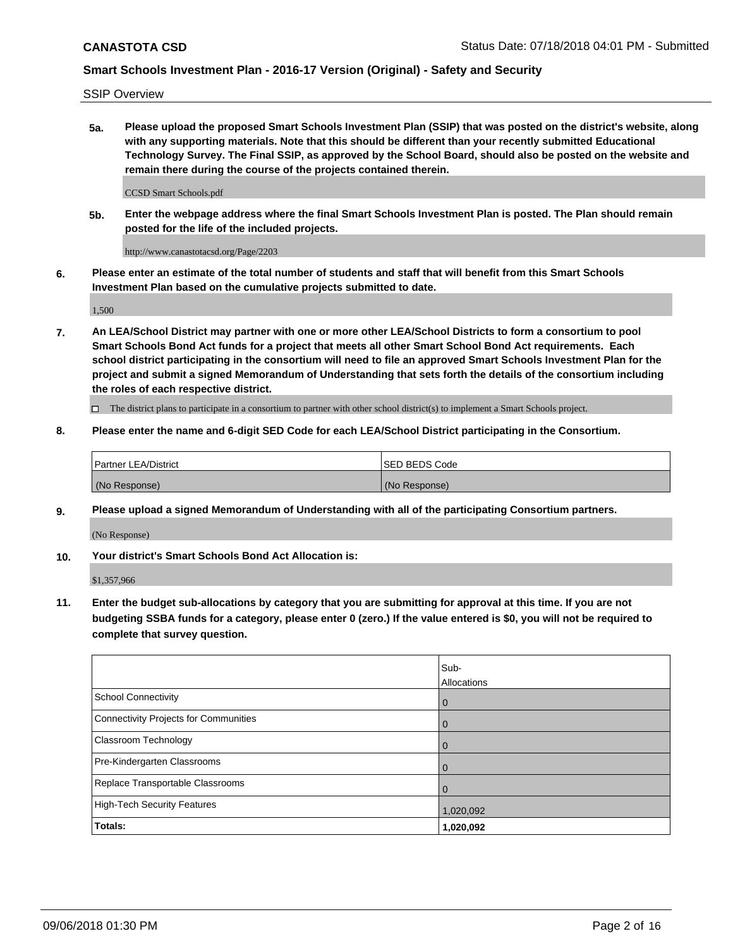SSIP Overview

**5a. Please upload the proposed Smart Schools Investment Plan (SSIP) that was posted on the district's website, along with any supporting materials. Note that this should be different than your recently submitted Educational Technology Survey. The Final SSIP, as approved by the School Board, should also be posted on the website and remain there during the course of the projects contained therein.**

CCSD Smart Schools.pdf

**5b. Enter the webpage address where the final Smart Schools Investment Plan is posted. The Plan should remain posted for the life of the included projects.**

http://www.canastotacsd.org/Page/2203

**6. Please enter an estimate of the total number of students and staff that will benefit from this Smart Schools Investment Plan based on the cumulative projects submitted to date.**

1,500

**7. An LEA/School District may partner with one or more other LEA/School Districts to form a consortium to pool Smart Schools Bond Act funds for a project that meets all other Smart School Bond Act requirements. Each school district participating in the consortium will need to file an approved Smart Schools Investment Plan for the project and submit a signed Memorandum of Understanding that sets forth the details of the consortium including the roles of each respective district.**

 $\Box$  The district plans to participate in a consortium to partner with other school district(s) to implement a Smart Schools project.

### **8. Please enter the name and 6-digit SED Code for each LEA/School District participating in the Consortium.**

| Partner LEA/District | <b>ISED BEDS Code</b> |
|----------------------|-----------------------|
| (No Response)        | (No Response)         |

### **9. Please upload a signed Memorandum of Understanding with all of the participating Consortium partners.**

(No Response)

**10. Your district's Smart Schools Bond Act Allocation is:**

\$1,357,966

**11. Enter the budget sub-allocations by category that you are submitting for approval at this time. If you are not budgeting SSBA funds for a category, please enter 0 (zero.) If the value entered is \$0, you will not be required to complete that survey question.**

|                                       | Sub-<br><b>Allocations</b> |
|---------------------------------------|----------------------------|
| School Connectivity                   | $\mathbf 0$                |
| Connectivity Projects for Communities | $\overline{0}$             |
| <b>Classroom Technology</b>           | $\Omega$                   |
| Pre-Kindergarten Classrooms           | $\overline{0}$             |
| Replace Transportable Classrooms      |                            |
| High-Tech Security Features           | 1,020,092                  |
| Totals:                               | 1,020,092                  |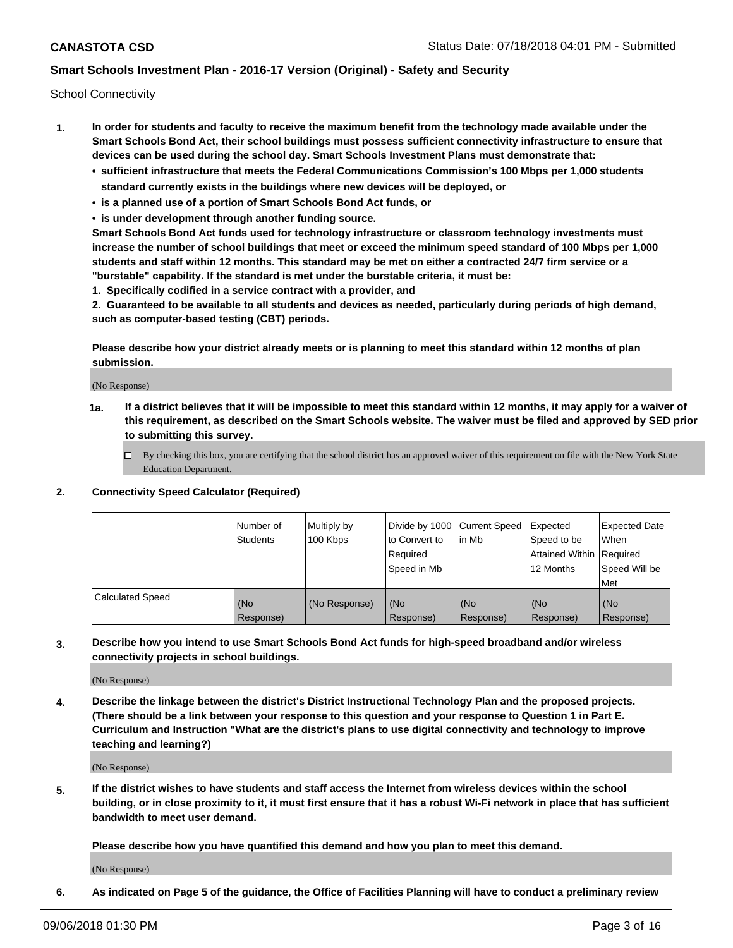School Connectivity

- **1. In order for students and faculty to receive the maximum benefit from the technology made available under the Smart Schools Bond Act, their school buildings must possess sufficient connectivity infrastructure to ensure that devices can be used during the school day. Smart Schools Investment Plans must demonstrate that:**
	- **• sufficient infrastructure that meets the Federal Communications Commission's 100 Mbps per 1,000 students standard currently exists in the buildings where new devices will be deployed, or**
	- **• is a planned use of a portion of Smart Schools Bond Act funds, or**
	- **• is under development through another funding source.**

**Smart Schools Bond Act funds used for technology infrastructure or classroom technology investments must increase the number of school buildings that meet or exceed the minimum speed standard of 100 Mbps per 1,000 students and staff within 12 months. This standard may be met on either a contracted 24/7 firm service or a "burstable" capability. If the standard is met under the burstable criteria, it must be:**

**1. Specifically codified in a service contract with a provider, and**

**2. Guaranteed to be available to all students and devices as needed, particularly during periods of high demand, such as computer-based testing (CBT) periods.**

**Please describe how your district already meets or is planning to meet this standard within 12 months of plan submission.**

(No Response)

**1a. If a district believes that it will be impossible to meet this standard within 12 months, it may apply for a waiver of this requirement, as described on the Smart Schools website. The waiver must be filed and approved by SED prior to submitting this survey.**

 $\Box$  By checking this box, you are certifying that the school district has an approved waiver of this requirement on file with the New York State Education Department.

#### **2. Connectivity Speed Calculator (Required)**

|                         | Number of<br><b>Students</b> | Multiply by<br>100 Kbps | Divide by 1000 Current Speed<br>to Convert to<br>Required<br>l Speed in Mb | lin Mb           | Expected<br>Speed to be<br>Attained Within   Required<br>12 Months | <b>Expected Date</b><br>When<br>Speed Will be<br>Met |
|-------------------------|------------------------------|-------------------------|----------------------------------------------------------------------------|------------------|--------------------------------------------------------------------|------------------------------------------------------|
| <b>Calculated Speed</b> | (No<br>Response)             | (No Response)           | (No<br>Response)                                                           | (No<br>Response) | (No<br>Response)                                                   | (No<br>Response)                                     |

**3. Describe how you intend to use Smart Schools Bond Act funds for high-speed broadband and/or wireless connectivity projects in school buildings.**

(No Response)

**4. Describe the linkage between the district's District Instructional Technology Plan and the proposed projects. (There should be a link between your response to this question and your response to Question 1 in Part E. Curriculum and Instruction "What are the district's plans to use digital connectivity and technology to improve teaching and learning?)**

(No Response)

**5. If the district wishes to have students and staff access the Internet from wireless devices within the school building, or in close proximity to it, it must first ensure that it has a robust Wi-Fi network in place that has sufficient bandwidth to meet user demand.**

**Please describe how you have quantified this demand and how you plan to meet this demand.**

(No Response)

**6. As indicated on Page 5 of the guidance, the Office of Facilities Planning will have to conduct a preliminary review**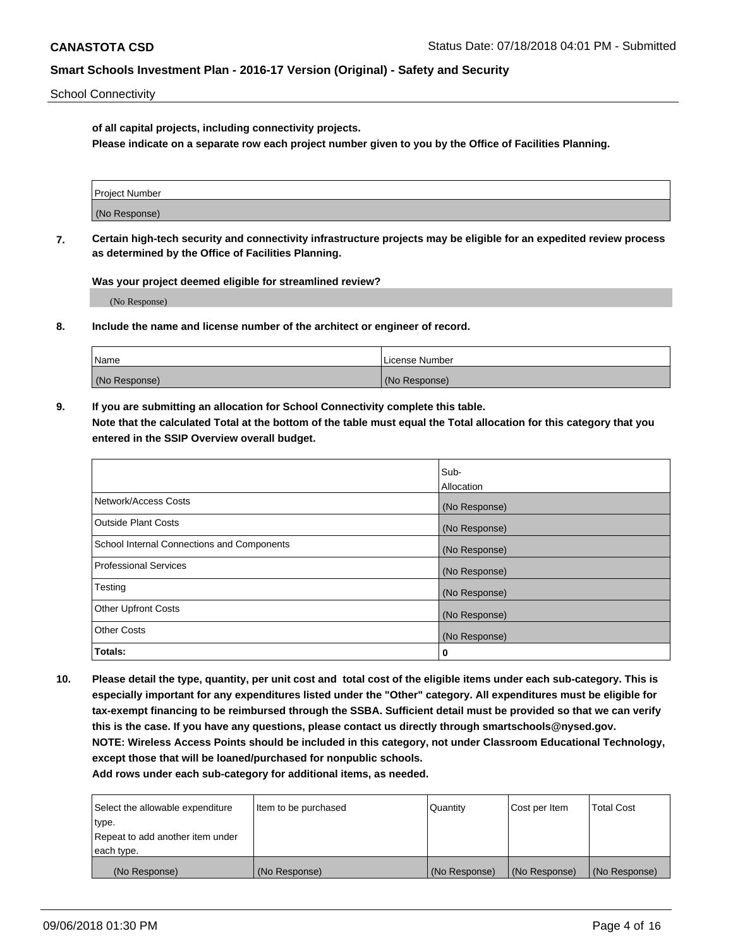School Connectivity

**of all capital projects, including connectivity projects.**

**Please indicate on a separate row each project number given to you by the Office of Facilities Planning.**

| Project Number |  |
|----------------|--|
|                |  |
| (No Response)  |  |
|                |  |

**7. Certain high-tech security and connectivity infrastructure projects may be eligible for an expedited review process as determined by the Office of Facilities Planning.**

**Was your project deemed eligible for streamlined review?**

(No Response)

**8. Include the name and license number of the architect or engineer of record.**

| Name          | License Number |
|---------------|----------------|
| (No Response) | (No Response)  |

**9. If you are submitting an allocation for School Connectivity complete this table. Note that the calculated Total at the bottom of the table must equal the Total allocation for this category that you entered in the SSIP Overview overall budget.** 

|                                            | Sub-              |
|--------------------------------------------|-------------------|
|                                            | <b>Allocation</b> |
| Network/Access Costs                       | (No Response)     |
| <b>Outside Plant Costs</b>                 | (No Response)     |
| School Internal Connections and Components | (No Response)     |
| <b>Professional Services</b>               | (No Response)     |
| Testing                                    | (No Response)     |
| <b>Other Upfront Costs</b>                 | (No Response)     |
| <b>Other Costs</b>                         | (No Response)     |
| Totals:                                    | 0                 |

**10. Please detail the type, quantity, per unit cost and total cost of the eligible items under each sub-category. This is especially important for any expenditures listed under the "Other" category. All expenditures must be eligible for tax-exempt financing to be reimbursed through the SSBA. Sufficient detail must be provided so that we can verify this is the case. If you have any questions, please contact us directly through smartschools@nysed.gov. NOTE: Wireless Access Points should be included in this category, not under Classroom Educational Technology, except those that will be loaned/purchased for nonpublic schools.**

| Select the allowable expenditure | Item to be purchased | Quantity      | Cost per Item | <b>Total Cost</b> |
|----------------------------------|----------------------|---------------|---------------|-------------------|
| type.                            |                      |               |               |                   |
| Repeat to add another item under |                      |               |               |                   |
| each type.                       |                      |               |               |                   |
| (No Response)                    | (No Response)        | (No Response) | (No Response) | (No Response)     |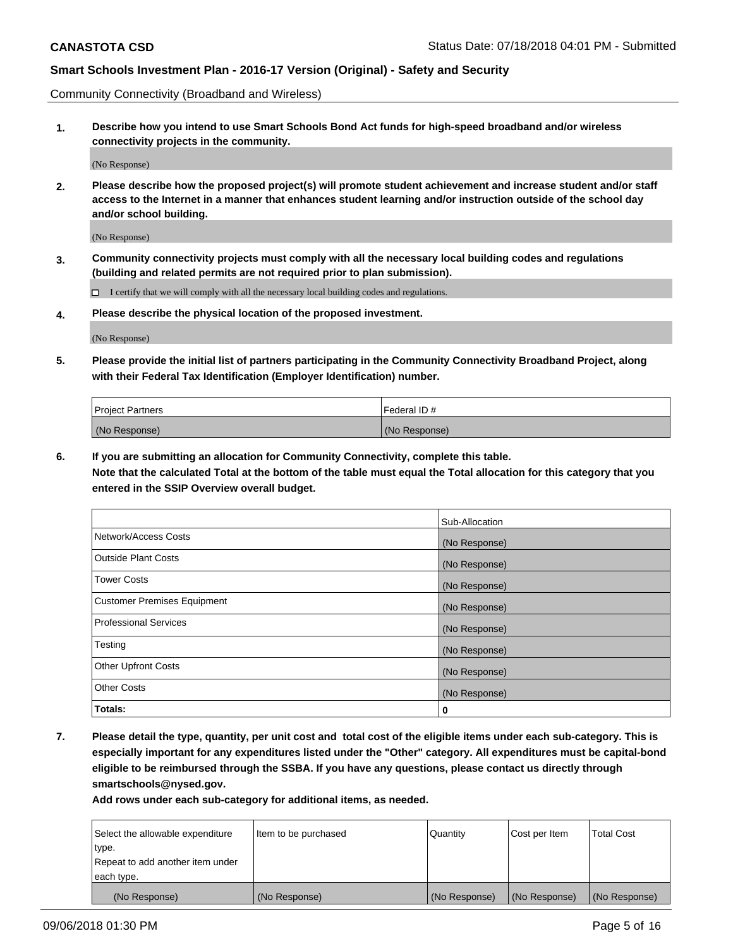Community Connectivity (Broadband and Wireless)

**1. Describe how you intend to use Smart Schools Bond Act funds for high-speed broadband and/or wireless connectivity projects in the community.**

(No Response)

**2. Please describe how the proposed project(s) will promote student achievement and increase student and/or staff access to the Internet in a manner that enhances student learning and/or instruction outside of the school day and/or school building.**

(No Response)

**3. Community connectivity projects must comply with all the necessary local building codes and regulations (building and related permits are not required prior to plan submission).**

 $\Box$  I certify that we will comply with all the necessary local building codes and regulations.

**4. Please describe the physical location of the proposed investment.**

(No Response)

**5. Please provide the initial list of partners participating in the Community Connectivity Broadband Project, along with their Federal Tax Identification (Employer Identification) number.**

| <b>Project Partners</b> | Federal ID#   |
|-------------------------|---------------|
| (No Response)           | (No Response) |

**6. If you are submitting an allocation for Community Connectivity, complete this table.**

**Note that the calculated Total at the bottom of the table must equal the Total allocation for this category that you entered in the SSIP Overview overall budget.**

|                                    | Sub-Allocation |
|------------------------------------|----------------|
| Network/Access Costs               | (No Response)  |
| <b>Outside Plant Costs</b>         | (No Response)  |
| <b>Tower Costs</b>                 | (No Response)  |
| <b>Customer Premises Equipment</b> | (No Response)  |
| <b>Professional Services</b>       | (No Response)  |
| Testing                            | (No Response)  |
| <b>Other Upfront Costs</b>         | (No Response)  |
| <b>Other Costs</b>                 | (No Response)  |
| Totals:                            | 0              |

**7. Please detail the type, quantity, per unit cost and total cost of the eligible items under each sub-category. This is especially important for any expenditures listed under the "Other" category. All expenditures must be capital-bond eligible to be reimbursed through the SSBA. If you have any questions, please contact us directly through smartschools@nysed.gov.**

| Select the allowable expenditure | Item to be purchased | Quantity      | Cost per Item | <b>Total Cost</b> |
|----------------------------------|----------------------|---------------|---------------|-------------------|
| type.                            |                      |               |               |                   |
| Repeat to add another item under |                      |               |               |                   |
| each type.                       |                      |               |               |                   |
| (No Response)                    | (No Response)        | (No Response) | (No Response) | (No Response)     |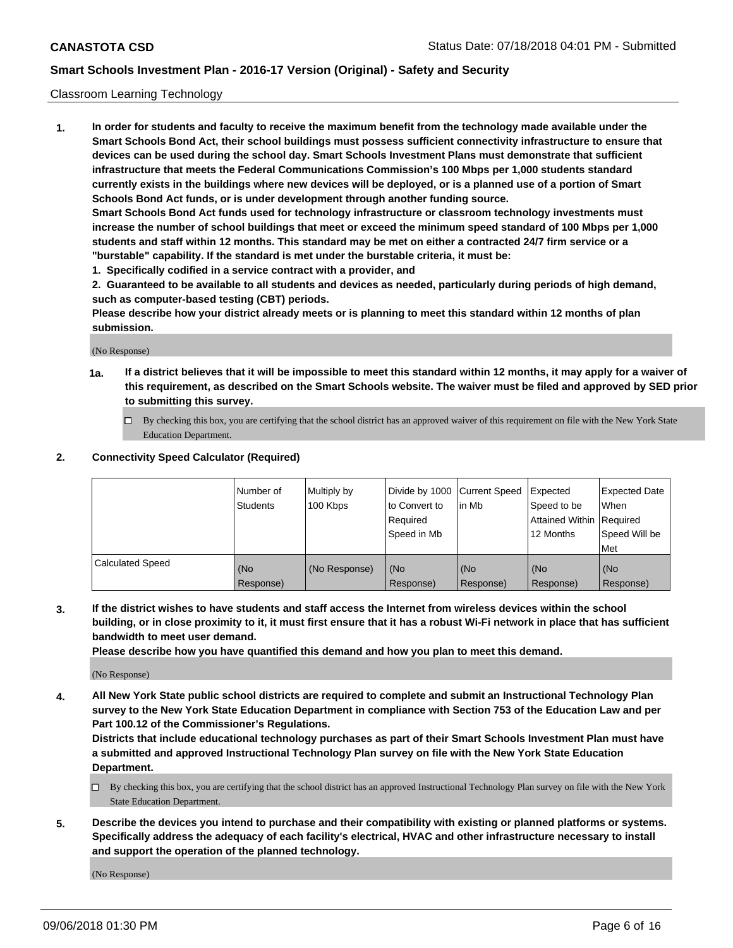#### Classroom Learning Technology

**1. In order for students and faculty to receive the maximum benefit from the technology made available under the Smart Schools Bond Act, their school buildings must possess sufficient connectivity infrastructure to ensure that devices can be used during the school day. Smart Schools Investment Plans must demonstrate that sufficient infrastructure that meets the Federal Communications Commission's 100 Mbps per 1,000 students standard currently exists in the buildings where new devices will be deployed, or is a planned use of a portion of Smart Schools Bond Act funds, or is under development through another funding source. Smart Schools Bond Act funds used for technology infrastructure or classroom technology investments must increase the number of school buildings that meet or exceed the minimum speed standard of 100 Mbps per 1,000 students and staff within 12 months. This standard may be met on either a contracted 24/7 firm service or a**

**"burstable" capability. If the standard is met under the burstable criteria, it must be:**

**1. Specifically codified in a service contract with a provider, and**

**2. Guaranteed to be available to all students and devices as needed, particularly during periods of high demand, such as computer-based testing (CBT) periods.**

**Please describe how your district already meets or is planning to meet this standard within 12 months of plan submission.**

(No Response)

- **1a. If a district believes that it will be impossible to meet this standard within 12 months, it may apply for a waiver of this requirement, as described on the Smart Schools website. The waiver must be filed and approved by SED prior to submitting this survey.**
	- By checking this box, you are certifying that the school district has an approved waiver of this requirement on file with the New York State Education Department.

#### **2. Connectivity Speed Calculator (Required)**

|                         | l Number of<br>Students | Multiply by<br>100 Kbps | to Convert to<br>Required<br>Speed in Mb | Divide by 1000 Current Speed Expected<br>l in Mb | Speed to be<br>Attained Within Required<br>12 Months | <b>Expected Date</b><br>When<br>Speed Will be<br>Met |
|-------------------------|-------------------------|-------------------------|------------------------------------------|--------------------------------------------------|------------------------------------------------------|------------------------------------------------------|
| <b>Calculated Speed</b> | (No<br>Response)        | (No Response)           | (No<br>Response)                         | (No<br>Response)                                 | (No<br>Response)                                     | (No<br>Response)                                     |

**3. If the district wishes to have students and staff access the Internet from wireless devices within the school building, or in close proximity to it, it must first ensure that it has a robust Wi-Fi network in place that has sufficient bandwidth to meet user demand.**

**Please describe how you have quantified this demand and how you plan to meet this demand.**

(No Response)

**4. All New York State public school districts are required to complete and submit an Instructional Technology Plan survey to the New York State Education Department in compliance with Section 753 of the Education Law and per Part 100.12 of the Commissioner's Regulations.**

**Districts that include educational technology purchases as part of their Smart Schools Investment Plan must have a submitted and approved Instructional Technology Plan survey on file with the New York State Education Department.**

- $\Box$  By checking this box, you are certifying that the school district has an approved Instructional Technology Plan survey on file with the New York State Education Department.
- **5. Describe the devices you intend to purchase and their compatibility with existing or planned platforms or systems. Specifically address the adequacy of each facility's electrical, HVAC and other infrastructure necessary to install and support the operation of the planned technology.**

(No Response)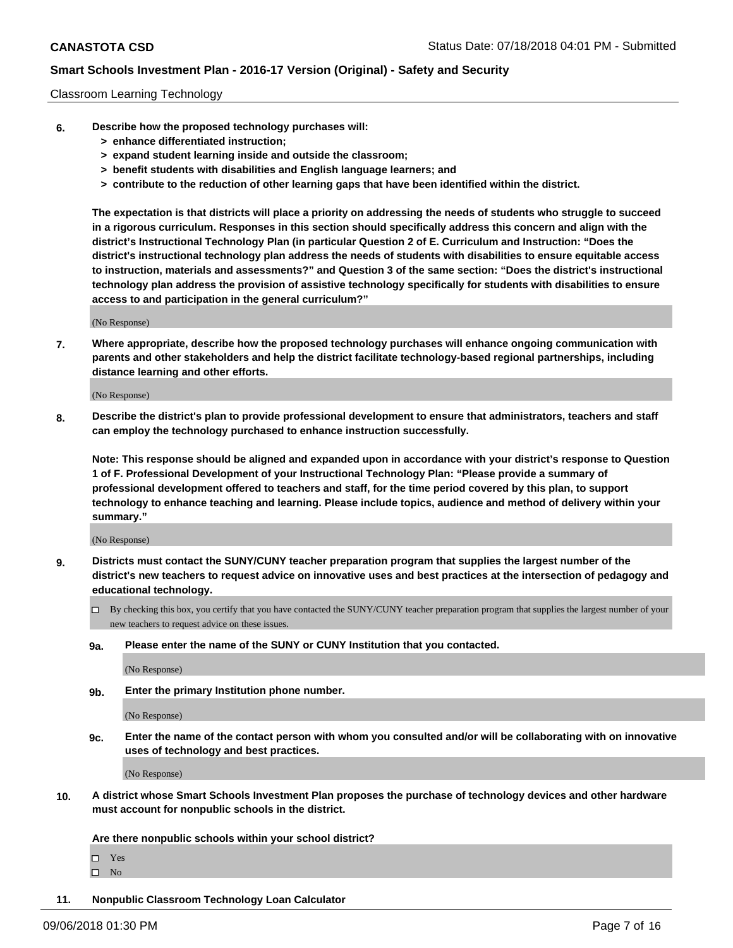#### Classroom Learning Technology

- **6. Describe how the proposed technology purchases will:**
	- **> enhance differentiated instruction;**
	- **> expand student learning inside and outside the classroom;**
	- **> benefit students with disabilities and English language learners; and**
	- **> contribute to the reduction of other learning gaps that have been identified within the district.**

**The expectation is that districts will place a priority on addressing the needs of students who struggle to succeed in a rigorous curriculum. Responses in this section should specifically address this concern and align with the district's Instructional Technology Plan (in particular Question 2 of E. Curriculum and Instruction: "Does the district's instructional technology plan address the needs of students with disabilities to ensure equitable access to instruction, materials and assessments?" and Question 3 of the same section: "Does the district's instructional technology plan address the provision of assistive technology specifically for students with disabilities to ensure access to and participation in the general curriculum?"**

(No Response)

**7. Where appropriate, describe how the proposed technology purchases will enhance ongoing communication with parents and other stakeholders and help the district facilitate technology-based regional partnerships, including distance learning and other efforts.**

(No Response)

**8. Describe the district's plan to provide professional development to ensure that administrators, teachers and staff can employ the technology purchased to enhance instruction successfully.**

**Note: This response should be aligned and expanded upon in accordance with your district's response to Question 1 of F. Professional Development of your Instructional Technology Plan: "Please provide a summary of professional development offered to teachers and staff, for the time period covered by this plan, to support technology to enhance teaching and learning. Please include topics, audience and method of delivery within your summary."**

(No Response)

- **9. Districts must contact the SUNY/CUNY teacher preparation program that supplies the largest number of the district's new teachers to request advice on innovative uses and best practices at the intersection of pedagogy and educational technology.**
	- By checking this box, you certify that you have contacted the SUNY/CUNY teacher preparation program that supplies the largest number of your new teachers to request advice on these issues.
	- **9a. Please enter the name of the SUNY or CUNY Institution that you contacted.**

(No Response)

**9b. Enter the primary Institution phone number.**

(No Response)

**9c. Enter the name of the contact person with whom you consulted and/or will be collaborating with on innovative uses of technology and best practices.**

(No Response)

**10. A district whose Smart Schools Investment Plan proposes the purchase of technology devices and other hardware must account for nonpublic schools in the district.**

**Are there nonpublic schools within your school district?**

Yes

 $\square$  No

**11. Nonpublic Classroom Technology Loan Calculator**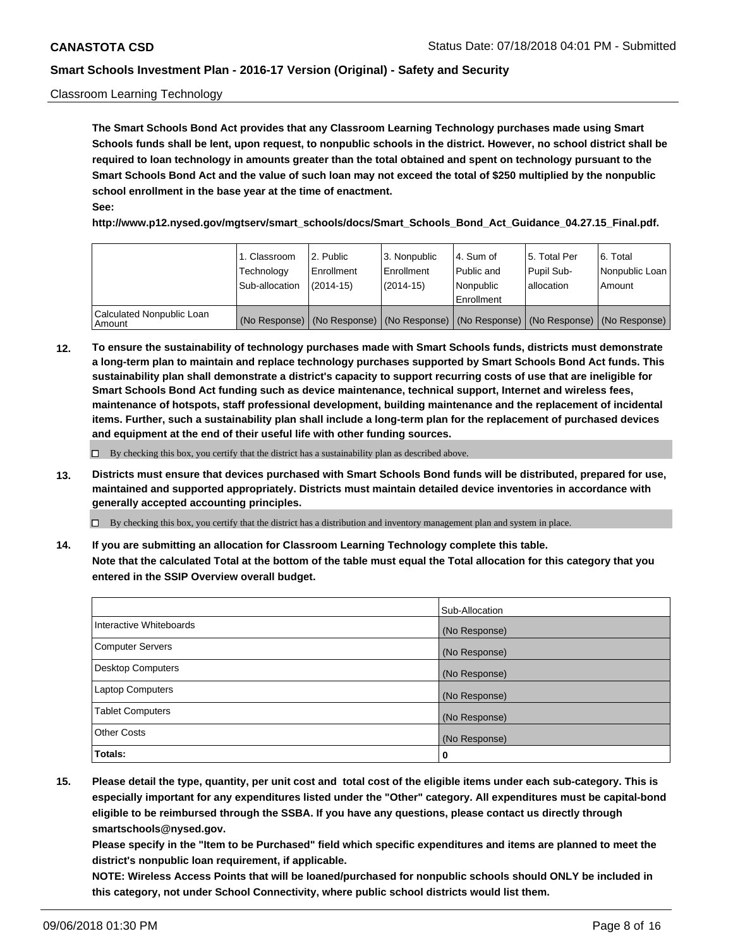#### Classroom Learning Technology

**The Smart Schools Bond Act provides that any Classroom Learning Technology purchases made using Smart Schools funds shall be lent, upon request, to nonpublic schools in the district. However, no school district shall be required to loan technology in amounts greater than the total obtained and spent on technology pursuant to the Smart Schools Bond Act and the value of such loan may not exceed the total of \$250 multiplied by the nonpublic school enrollment in the base year at the time of enactment. See:**

**http://www.p12.nysed.gov/mgtserv/smart\_schools/docs/Smart\_Schools\_Bond\_Act\_Guidance\_04.27.15\_Final.pdf.**

|                                       | 1. Classroom<br>Technology<br>Sub-allocation | 2. Public<br>l Enrollment<br>(2014-15) | l 3. Nonpublic<br>l Enrollment<br>$(2014 - 15)$ | l 4. Sum of<br>l Public and<br>l Nonpublic<br>Enrollment                                      | 15. Total Per<br>Pupil Sub-<br>l allocation | l 6. Total<br>Nonpublic Loan<br>Amount |
|---------------------------------------|----------------------------------------------|----------------------------------------|-------------------------------------------------|-----------------------------------------------------------------------------------------------|---------------------------------------------|----------------------------------------|
| Calculated Nonpublic Loan<br>l Amount |                                              |                                        |                                                 | (No Response)   (No Response)   (No Response)   (No Response)   (No Response)   (No Response) |                                             |                                        |

**12. To ensure the sustainability of technology purchases made with Smart Schools funds, districts must demonstrate a long-term plan to maintain and replace technology purchases supported by Smart Schools Bond Act funds. This sustainability plan shall demonstrate a district's capacity to support recurring costs of use that are ineligible for Smart Schools Bond Act funding such as device maintenance, technical support, Internet and wireless fees, maintenance of hotspots, staff professional development, building maintenance and the replacement of incidental items. Further, such a sustainability plan shall include a long-term plan for the replacement of purchased devices and equipment at the end of their useful life with other funding sources.**

 $\Box$  By checking this box, you certify that the district has a sustainability plan as described above.

**13. Districts must ensure that devices purchased with Smart Schools Bond funds will be distributed, prepared for use, maintained and supported appropriately. Districts must maintain detailed device inventories in accordance with generally accepted accounting principles.**

By checking this box, you certify that the district has a distribution and inventory management plan and system in place.

**14. If you are submitting an allocation for Classroom Learning Technology complete this table. Note that the calculated Total at the bottom of the table must equal the Total allocation for this category that you entered in the SSIP Overview overall budget.**

|                          | Sub-Allocation |
|--------------------------|----------------|
| Interactive Whiteboards  | (No Response)  |
| <b>Computer Servers</b>  | (No Response)  |
| <b>Desktop Computers</b> | (No Response)  |
| <b>Laptop Computers</b>  | (No Response)  |
| <b>Tablet Computers</b>  | (No Response)  |
| <b>Other Costs</b>       | (No Response)  |
| Totals:                  | 0              |

**15. Please detail the type, quantity, per unit cost and total cost of the eligible items under each sub-category. This is especially important for any expenditures listed under the "Other" category. All expenditures must be capital-bond eligible to be reimbursed through the SSBA. If you have any questions, please contact us directly through smartschools@nysed.gov.**

**Please specify in the "Item to be Purchased" field which specific expenditures and items are planned to meet the district's nonpublic loan requirement, if applicable.**

**NOTE: Wireless Access Points that will be loaned/purchased for nonpublic schools should ONLY be included in this category, not under School Connectivity, where public school districts would list them.**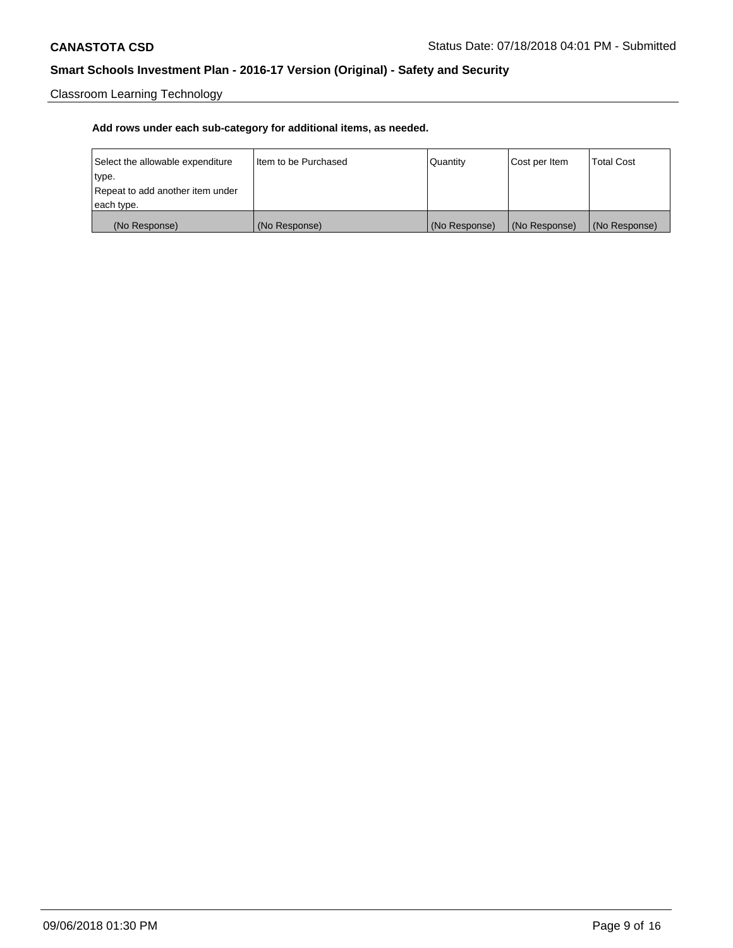Classroom Learning Technology

| Select the allowable expenditure | Iltem to be Purchased | Quantity      | Cost per Item | <b>Total Cost</b> |
|----------------------------------|-----------------------|---------------|---------------|-------------------|
| type.                            |                       |               |               |                   |
| Repeat to add another item under |                       |               |               |                   |
| each type.                       |                       |               |               |                   |
| (No Response)                    | (No Response)         | (No Response) | (No Response) | (No Response)     |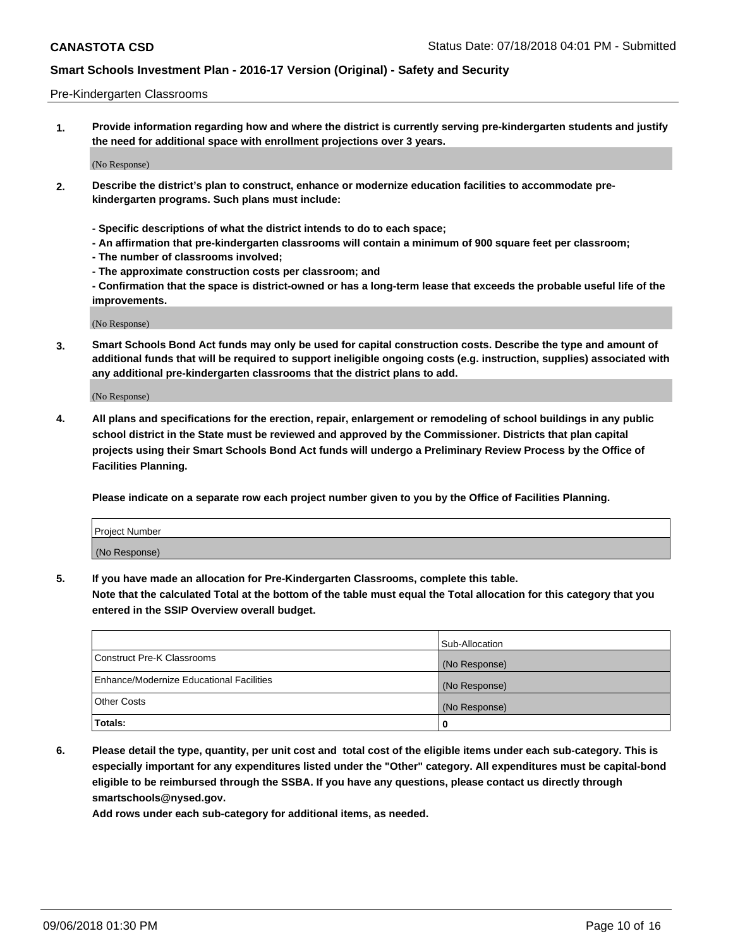#### Pre-Kindergarten Classrooms

**1. Provide information regarding how and where the district is currently serving pre-kindergarten students and justify the need for additional space with enrollment projections over 3 years.**

(No Response)

- **2. Describe the district's plan to construct, enhance or modernize education facilities to accommodate prekindergarten programs. Such plans must include:**
	- **Specific descriptions of what the district intends to do to each space;**
	- **An affirmation that pre-kindergarten classrooms will contain a minimum of 900 square feet per classroom;**
	- **The number of classrooms involved;**
	- **The approximate construction costs per classroom; and**
	- **Confirmation that the space is district-owned or has a long-term lease that exceeds the probable useful life of the improvements.**

(No Response)

**3. Smart Schools Bond Act funds may only be used for capital construction costs. Describe the type and amount of additional funds that will be required to support ineligible ongoing costs (e.g. instruction, supplies) associated with any additional pre-kindergarten classrooms that the district plans to add.**

(No Response)

**4. All plans and specifications for the erection, repair, enlargement or remodeling of school buildings in any public school district in the State must be reviewed and approved by the Commissioner. Districts that plan capital projects using their Smart Schools Bond Act funds will undergo a Preliminary Review Process by the Office of Facilities Planning.**

**Please indicate on a separate row each project number given to you by the Office of Facilities Planning.**

| Project Number |  |
|----------------|--|
| (No Response)  |  |
|                |  |

**5. If you have made an allocation for Pre-Kindergarten Classrooms, complete this table.**

**Note that the calculated Total at the bottom of the table must equal the Total allocation for this category that you entered in the SSIP Overview overall budget.**

|                                          | Sub-Allocation |
|------------------------------------------|----------------|
| Construct Pre-K Classrooms               | (No Response)  |
| Enhance/Modernize Educational Facilities | (No Response)  |
| <b>Other Costs</b>                       | (No Response)  |
| Totals:                                  | 0              |

**6. Please detail the type, quantity, per unit cost and total cost of the eligible items under each sub-category. This is especially important for any expenditures listed under the "Other" category. All expenditures must be capital-bond eligible to be reimbursed through the SSBA. If you have any questions, please contact us directly through smartschools@nysed.gov.**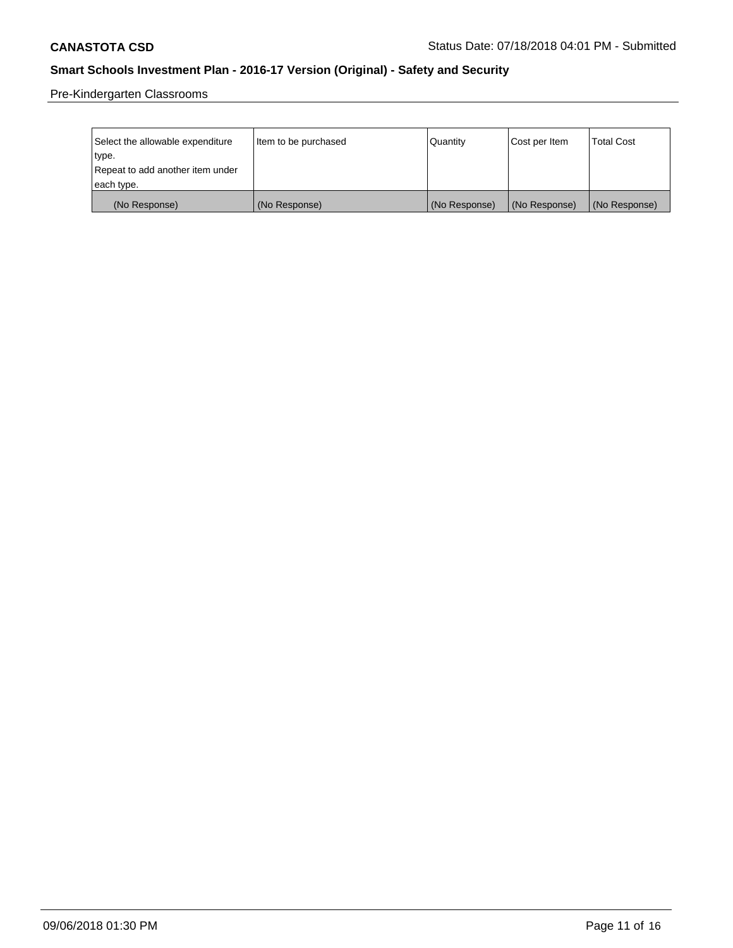Pre-Kindergarten Classrooms

| Select the allowable expenditure | Item to be purchased | Quantity      | Cost per Item | <b>Total Cost</b> |
|----------------------------------|----------------------|---------------|---------------|-------------------|
| type.                            |                      |               |               |                   |
| Repeat to add another item under |                      |               |               |                   |
| each type.                       |                      |               |               |                   |
| (No Response)                    | (No Response)        | (No Response) | (No Response) | (No Response)     |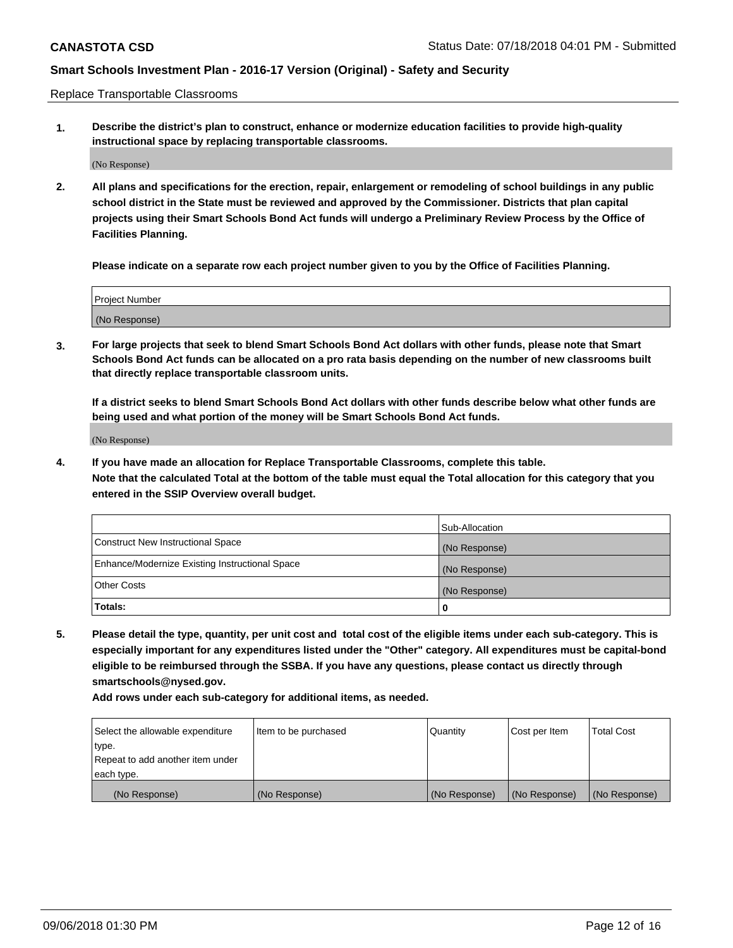Replace Transportable Classrooms

**1. Describe the district's plan to construct, enhance or modernize education facilities to provide high-quality instructional space by replacing transportable classrooms.**

(No Response)

**2. All plans and specifications for the erection, repair, enlargement or remodeling of school buildings in any public school district in the State must be reviewed and approved by the Commissioner. Districts that plan capital projects using their Smart Schools Bond Act funds will undergo a Preliminary Review Process by the Office of Facilities Planning.**

**Please indicate on a separate row each project number given to you by the Office of Facilities Planning.**

| Project Number |  |
|----------------|--|
|                |  |
|                |  |
|                |  |
|                |  |
| (No Response)  |  |
|                |  |
|                |  |
|                |  |

**3. For large projects that seek to blend Smart Schools Bond Act dollars with other funds, please note that Smart Schools Bond Act funds can be allocated on a pro rata basis depending on the number of new classrooms built that directly replace transportable classroom units.**

**If a district seeks to blend Smart Schools Bond Act dollars with other funds describe below what other funds are being used and what portion of the money will be Smart Schools Bond Act funds.**

(No Response)

**4. If you have made an allocation for Replace Transportable Classrooms, complete this table. Note that the calculated Total at the bottom of the table must equal the Total allocation for this category that you entered in the SSIP Overview overall budget.**

|                                                | Sub-Allocation |
|------------------------------------------------|----------------|
| Construct New Instructional Space              | (No Response)  |
| Enhance/Modernize Existing Instructional Space | (No Response)  |
| <b>Other Costs</b>                             | (No Response)  |
| Totals:                                        | 0              |

**5. Please detail the type, quantity, per unit cost and total cost of the eligible items under each sub-category. This is especially important for any expenditures listed under the "Other" category. All expenditures must be capital-bond eligible to be reimbursed through the SSBA. If you have any questions, please contact us directly through smartschools@nysed.gov.**

| Select the allowable expenditure | Item to be purchased | l Quantitv    | Cost per Item | <b>Total Cost</b> |
|----------------------------------|----------------------|---------------|---------------|-------------------|
| type.                            |                      |               |               |                   |
| Repeat to add another item under |                      |               |               |                   |
| each type.                       |                      |               |               |                   |
| (No Response)                    | (No Response)        | (No Response) | (No Response) | (No Response)     |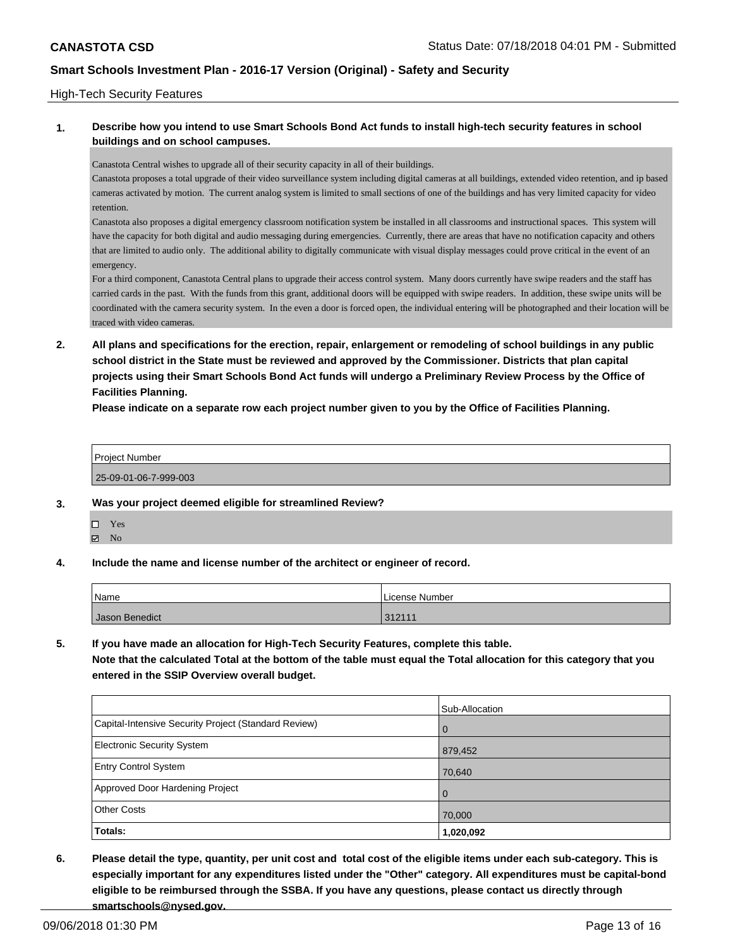#### High-Tech Security Features

### **1. Describe how you intend to use Smart Schools Bond Act funds to install high-tech security features in school buildings and on school campuses.**

Canastota Central wishes to upgrade all of their security capacity in all of their buildings.

Canastota proposes a total upgrade of their video surveillance system including digital cameras at all buildings, extended video retention, and ip based cameras activated by motion. The current analog system is limited to small sections of one of the buildings and has very limited capacity for video retention.

Canastota also proposes a digital emergency classroom notification system be installed in all classrooms and instructional spaces. This system will have the capacity for both digital and audio messaging during emergencies. Currently, there are areas that have no notification capacity and others that are limited to audio only. The additional ability to digitally communicate with visual display messages could prove critical in the event of an emergency.

For a third component, Canastota Central plans to upgrade their access control system. Many doors currently have swipe readers and the staff has carried cards in the past. With the funds from this grant, additional doors will be equipped with swipe readers. In addition, these swipe units will be coordinated with the camera security system. In the even a door is forced open, the individual entering will be photographed and their location will be traced with video cameras.

**2. All plans and specifications for the erection, repair, enlargement or remodeling of school buildings in any public school district in the State must be reviewed and approved by the Commissioner. Districts that plan capital projects using their Smart Schools Bond Act funds will undergo a Preliminary Review Process by the Office of Facilities Planning.** 

**Please indicate on a separate row each project number given to you by the Office of Facilities Planning.**

| <b>Project Number</b> |  |
|-----------------------|--|
| 25-09-01-06-7-999-003 |  |

#### **3. Was your project deemed eligible for streamlined Review?**

- □ Yes
- $\boxtimes$  No
- **4. Include the name and license number of the architect or engineer of record.**

| Name           | License Number |
|----------------|----------------|
| Jason Benedict | 312111         |

**5. If you have made an allocation for High-Tech Security Features, complete this table.**

**Note that the calculated Total at the bottom of the table must equal the Total allocation for this category that you entered in the SSIP Overview overall budget.**

|                                                      | Sub-Allocation |
|------------------------------------------------------|----------------|
| Capital-Intensive Security Project (Standard Review) | $\mathbf 0$    |
| <b>Electronic Security System</b>                    | 879,452        |
| <b>Entry Control System</b>                          | 70,640         |
| Approved Door Hardening Project                      | $\Omega$       |
| <b>Other Costs</b>                                   | 70,000         |
| Totals:                                              | 1,020,092      |

**6. Please detail the type, quantity, per unit cost and total cost of the eligible items under each sub-category. This is especially important for any expenditures listed under the "Other" category. All expenditures must be capital-bond eligible to be reimbursed through the SSBA. If you have any questions, please contact us directly through smartschools@nysed.gov.**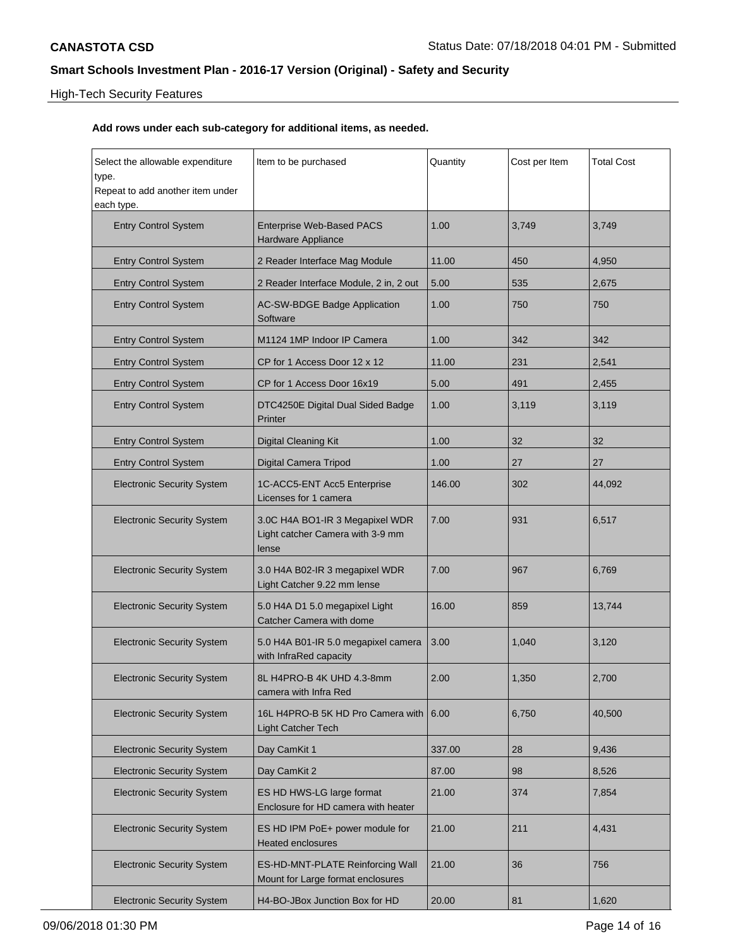## High-Tech Security Features

| Select the allowable expenditure<br>type.<br>Repeat to add another item under | Item to be purchased                                                         | Quantity | Cost per Item | <b>Total Cost</b> |
|-------------------------------------------------------------------------------|------------------------------------------------------------------------------|----------|---------------|-------------------|
| each type.                                                                    |                                                                              |          |               |                   |
| <b>Entry Control System</b>                                                   | <b>Enterprise Web-Based PACS</b><br>Hardware Appliance                       | 1.00     | 3,749         | 3,749             |
| <b>Entry Control System</b>                                                   | 2 Reader Interface Mag Module                                                | 11.00    | 450           | 4,950             |
| <b>Entry Control System</b>                                                   | 2 Reader Interface Module, 2 in, 2 out                                       | 5.00     | 535           | 2,675             |
| <b>Entry Control System</b>                                                   | AC-SW-BDGE Badge Application<br>Software                                     | 1.00     | 750           | 750               |
| <b>Entry Control System</b>                                                   | M1124 1MP Indoor IP Camera                                                   | 1.00     | 342           | 342               |
| <b>Entry Control System</b>                                                   | CP for 1 Access Door 12 x 12                                                 | 11.00    | 231           | 2,541             |
| <b>Entry Control System</b>                                                   | CP for 1 Access Door 16x19                                                   | 5.00     | 491           | 2,455             |
| <b>Entry Control System</b>                                                   | DTC4250E Digital Dual Sided Badge<br>Printer                                 | 1.00     | 3,119         | 3,119             |
| <b>Entry Control System</b>                                                   | <b>Digital Cleaning Kit</b>                                                  | 1.00     | 32            | 32                |
| <b>Entry Control System</b>                                                   | Digital Camera Tripod                                                        | 1.00     | 27            | 27                |
| <b>Electronic Security System</b>                                             | 1C-ACC5-ENT Acc5 Enterprise<br>Licenses for 1 camera                         | 146.00   | 302           | 44,092            |
| <b>Electronic Security System</b>                                             | 3.0C H4A BO1-IR 3 Megapixel WDR<br>Light catcher Camera with 3-9 mm<br>lense | 7.00     | 931           | 6,517             |
| <b>Electronic Security System</b>                                             | 3.0 H4A B02-IR 3 megapixel WDR<br>Light Catcher 9.22 mm lense                | 7.00     | 967           | 6,769             |
| <b>Electronic Security System</b>                                             | 5.0 H4A D1 5.0 megapixel Light<br>Catcher Camera with dome                   | 16.00    | 859           | 13,744            |
| <b>Electronic Security System</b>                                             | 5.0 H4A B01-IR 5.0 megapixel camera<br>with InfraRed capacity                | 3.00     | 1,040         | 3,120             |
| <b>Electronic Security System</b>                                             | 8L H4PRO-B 4K UHD 4.3-8mm<br>camera with Infra Red                           | 2.00     | 1,350         | 2,700             |
| <b>Electronic Security System</b>                                             | 16L H4PRO-B 5K HD Pro Camera with<br><b>Light Catcher Tech</b>               | 6.00     | 6,750         | 40,500            |
| <b>Electronic Security System</b>                                             | Day CamKit 1                                                                 | 337.00   | 28            | 9,436             |
| <b>Electronic Security System</b>                                             | Day CamKit 2                                                                 | 87.00    | 98            | 8,526             |
| <b>Electronic Security System</b>                                             | ES HD HWS-LG large format<br>Enclosure for HD camera with heater             | 21.00    | 374           | 7,854             |
| <b>Electronic Security System</b>                                             | ES HD IPM PoE+ power module for<br><b>Heated enclosures</b>                  | 21.00    | 211           | 4,431             |
| <b>Electronic Security System</b>                                             | ES-HD-MNT-PLATE Reinforcing Wall<br>Mount for Large format enclosures        | 21.00    | 36            | 756               |
| <b>Electronic Security System</b>                                             | H4-BO-JBox Junction Box for HD                                               | 20.00    | 81            | 1,620             |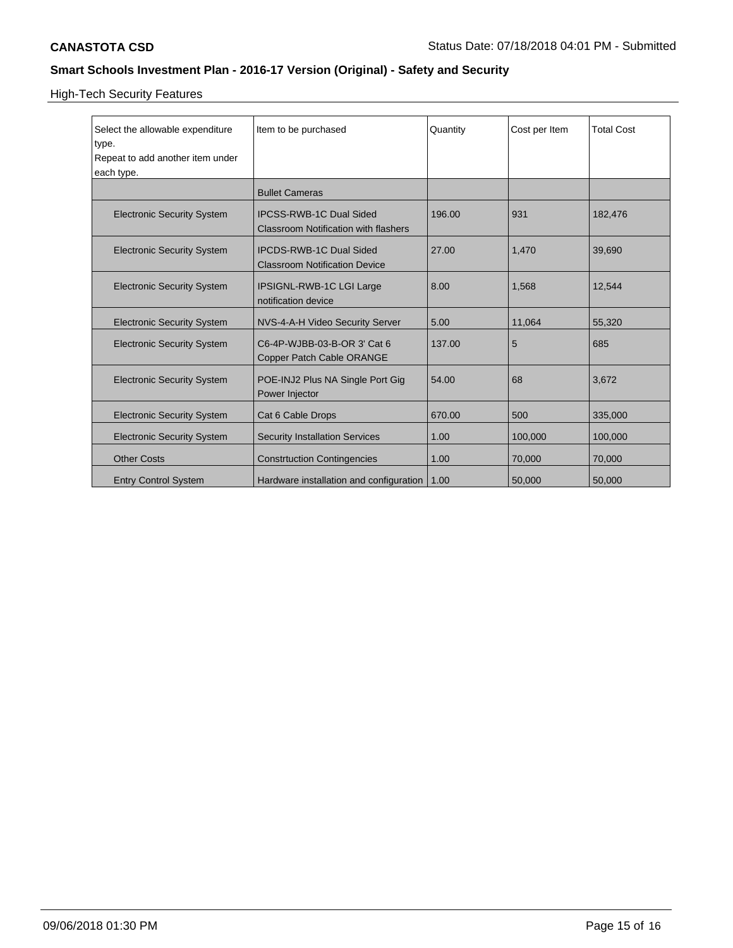# High-Tech Security Features

| Select the allowable expenditure<br>type.<br>Repeat to add another item under<br>each type. | Item to be purchased                                                          | Quantity | Cost per Item | <b>Total Cost</b> |
|---------------------------------------------------------------------------------------------|-------------------------------------------------------------------------------|----------|---------------|-------------------|
|                                                                                             | <b>Bullet Cameras</b>                                                         |          |               |                   |
| <b>Electronic Security System</b>                                                           | <b>IPCSS-RWB-1C Dual Sided</b><br><b>Classroom Notification with flashers</b> | 196.00   | 931           | 182,476           |
| <b>Electronic Security System</b>                                                           | <b>IPCDS-RWB-1C Dual Sided</b><br><b>Classroom Notification Device</b>        | 27.00    | 1,470         | 39,690            |
| <b>Electronic Security System</b>                                                           | IPSIGNL-RWB-1C LGI Large<br>notification device                               | 8.00     | 1,568         | 12,544            |
| <b>Electronic Security System</b>                                                           | NVS-4-A-H Video Security Server                                               | 5.00     | 11,064        | 55,320            |
| <b>Electronic Security System</b>                                                           | C6-4P-WJBB-03-B-OR 3' Cat 6<br>Copper Patch Cable ORANGE                      | 137.00   | 5             | 685               |
| <b>Electronic Security System</b>                                                           | POE-INJ2 Plus NA Single Port Gig<br>Power Injector                            | 54.00    | 68            | 3,672             |
| <b>Electronic Security System</b>                                                           | Cat 6 Cable Drops                                                             | 670.00   | 500           | 335,000           |
| <b>Electronic Security System</b>                                                           | <b>Security Installation Services</b>                                         | 1.00     | 100,000       | 100,000           |
| <b>Other Costs</b>                                                                          | <b>Constrtuction Contingencies</b>                                            | 1.00     | 70,000        | 70,000            |
| <b>Entry Control System</b>                                                                 | Hardware installation and configuration                                       | 1.00     | 50,000        | 50,000            |